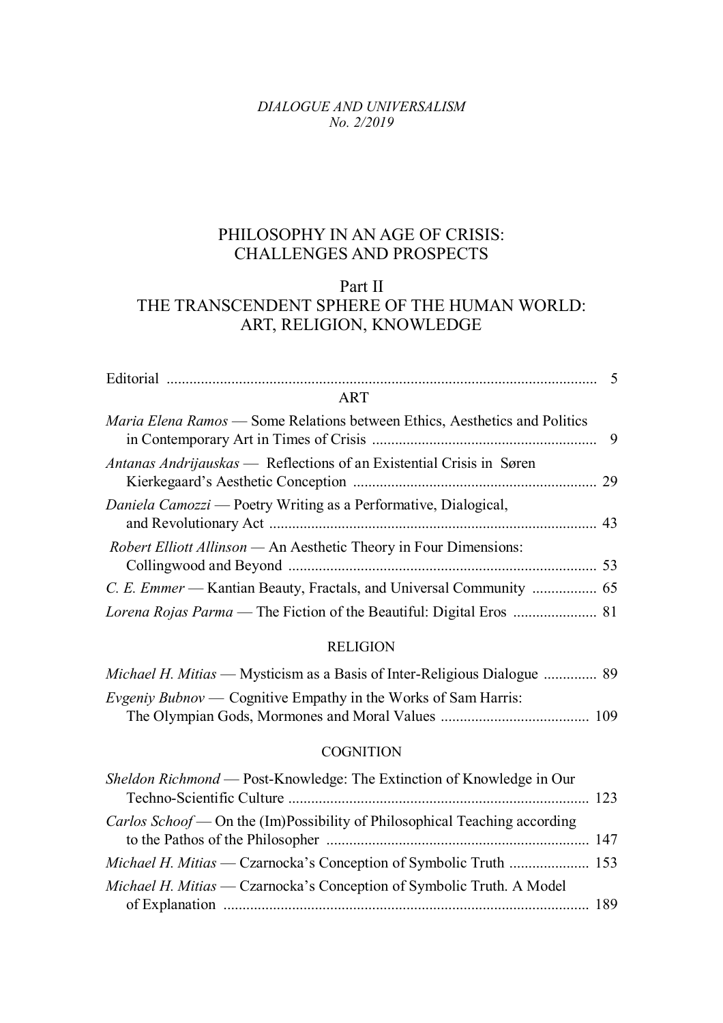#### *DIALOGUE AND UNIVERSALISM No. 2/2019*

# PHILOSOPHY IN AN AGE OF CRISIS: CHALLENGES AND PROSPECTS

## Part II THE TRANSCENDENT SPHERE OF THE HUMAN WORLD: ART, RELIGION, KNOWLEDGE

| <b>ART</b>                                                                        |  |
|-----------------------------------------------------------------------------------|--|
| <i>Maria Elena Ramos</i> — Some Relations between Ethics, Aesthetics and Politics |  |
| <i>Antanas Andrijauskas</i> — Reflections of an Existential Crisis in Søren       |  |
| Daniela Camozzi — Poetry Writing as a Performative, Dialogical,                   |  |
| <i>Robert Elliott Allinson</i> — An Aesthetic Theory in Four Dimensions:          |  |
|                                                                                   |  |
|                                                                                   |  |

### RELIGION

| <i>Michael H. Mitias</i> — Mysticism as a Basis of Inter-Religious Dialogue  89 |  |
|---------------------------------------------------------------------------------|--|
| <i>Evgeniy Bubnov</i> — Cognitive Empathy in the Works of Sam Harris:           |  |
|                                                                                 |  |

### **COGNITION**

| Sheldon Richmond — Post-Knowledge: The Extinction of Knowledge in Our             |  |
|-----------------------------------------------------------------------------------|--|
| <i>Carlos Schoof</i> — On the (Im)Possibility of Philosophical Teaching according |  |
|                                                                                   |  |
| Michael H. Mitias — Czarnocka's Conception of Symbolic Truth. A Model             |  |